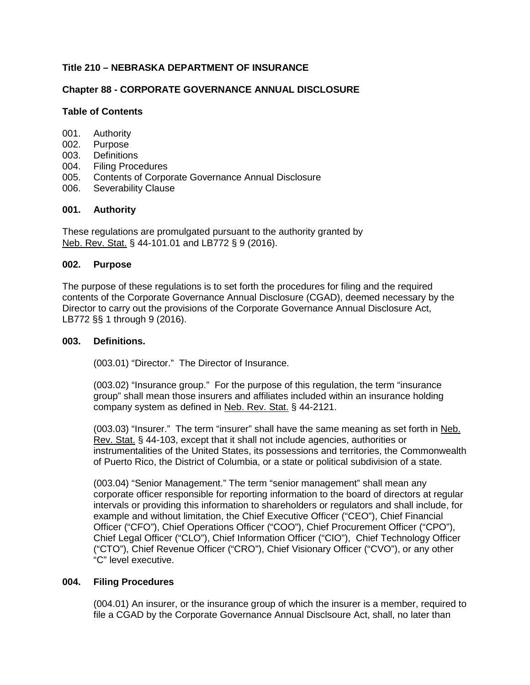## **Title 210 – NEBRASKA DEPARTMENT OF INSURANCE**

## **Chapter 88 - CORPORATE GOVERNANCE ANNUAL DISCLOSURE**

### **Table of Contents**

- 001. Authority
- 002. Purpose
- 003. Definitions<br>004. Filing Proce
- 004. Filing Procedures<br>005. Contents of Corpo
- Contents of Corporate Governance Annual Disclosure
- 006. Severability Clause

### **001. Authority**

These regulations are promulgated pursuant to the authority granted by Neb. Rev. Stat. § 44-101.01 and LB772 § 9 (2016).

#### **002. Purpose**

The purpose of these regulations is to set forth the procedures for filing and the required contents of the Corporate Governance Annual Disclosure (CGAD), deemed necessary by the Director to carry out the provisions of the Corporate Governance Annual Disclosure Act, LB772 §§ 1 through 9 (2016).

### **003. Definitions.**

(003.01) "Director." The Director of Insurance.

(003.02) "Insurance group." For the purpose of this regulation, the term "insurance group" shall mean those insurers and affiliates included within an insurance holding company system as defined in Neb. Rev. Stat. § 44-2121.

(003.03) "Insurer." The term "insurer" shall have the same meaning as set forth in Neb. Rev. Stat. § 44-103, except that it shall not include agencies, authorities or instrumentalities of the United States, its possessions and territories, the Commonwealth of Puerto Rico, the District of Columbia, or a state or political subdivision of a state.

(003.04) "Senior Management." The term "senior management" shall mean any corporate officer responsible for reporting information to the board of directors at regular intervals or providing this information to shareholders or regulators and shall include, for example and without limitation, the Chief Executive Officer ("CEO"), Chief Financial Officer ("CFO"), Chief Operations Officer ("COO"), Chief Procurement Officer ("CPO"), Chief Legal Officer ("CLO"), Chief Information Officer ("CIO"), Chief Technology Officer ("CTO"), Chief Revenue Officer ("CRO"), Chief Visionary Officer ("CVO"), or any other "C" level executive.

## **004. Filing Procedures**

(004.01) An insurer, or the insurance group of which the insurer is a member, required to file a CGAD by the Corporate Governance Annual Disclsoure Act, shall, no later than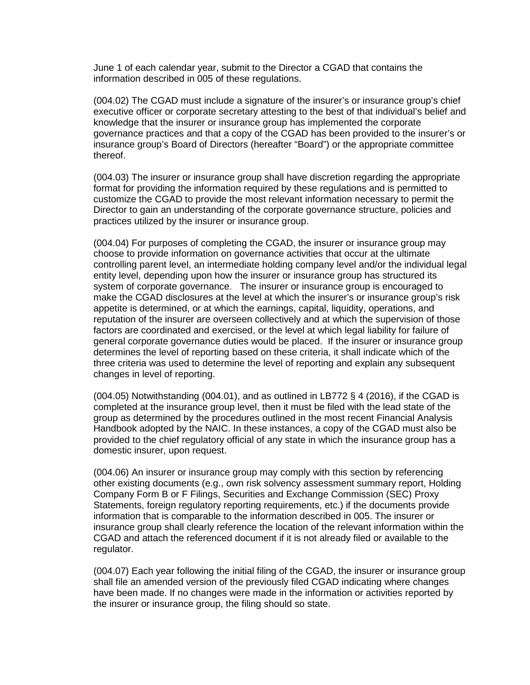June 1 of each calendar year, submit to the Director a CGAD that contains the information described in 005 of these regulations.

(004.02) The CGAD must include a signature of the insurer's or insurance group's chief executive officer or corporate secretary attesting to the best of that individual's belief and knowledge that the insurer or insurance group has implemented the corporate governance practices and that a copy of the CGAD has been provided to the insurer's or insurance group's Board of Directors (hereafter "Board") or the appropriate committee thereof.

(004.03) The insurer or insurance group shall have discretion regarding the appropriate format for providing the information required by these regulations and is permitted to customize the CGAD to provide the most relevant information necessary to permit the Director to gain an understanding of the corporate governance structure, policies and practices utilized by the insurer or insurance group.

(004.04) For purposes of completing the CGAD, the insurer or insurance group may choose to provide information on governance activities that occur at the ultimate controlling parent level, an intermediate holding company level and/or the individual legal entity level, depending upon how the insurer or insurance group has structured its system of corporate governance. The insurer or insurance group is encouraged to make the CGAD disclosures at the level at which the insurer's or insurance group's risk appetite is determined, or at which the earnings, capital, liquidity, operations, and reputation of the insurer are overseen collectively and at which the supervision of those factors are coordinated and exercised, or the level at which legal liability for failure of general corporate governance duties would be placed. If the insurer or insurance group determines the level of reporting based on these criteria, it shall indicate which of the three criteria was used to determine the level of reporting and explain any subsequent changes in level of reporting.

 $(004.05)$  Notwithstanding  $(004.01)$ , and as outlined in LB772 § 4 (2016), if the CGAD is completed at the insurance group level, then it must be filed with the lead state of the group as determined by the procedures outlined in the most recent Financial Analysis Handbook adopted by the NAIC. In these instances, a copy of the CGAD must also be provided to the chief regulatory official of any state in which the insurance group has a domestic insurer, upon request.

(004.06) An insurer or insurance group may comply with this section by referencing other existing documents (e.g., own risk solvency assessment summary report, Holding Company Form B or F Filings, Securities and Exchange Commission (SEC) Proxy Statements, foreign regulatory reporting requirements, etc.) if the documents provide information that is comparable to the information described in 005. The insurer or insurance group shall clearly reference the location of the relevant information within the CGAD and attach the referenced document if it is not already filed or available to the regulator.

(004.07) Each year following the initial filing of the CGAD, the insurer or insurance group shall file an amended version of the previously filed CGAD indicating where changes have been made. If no changes were made in the information or activities reported by the insurer or insurance group, the filing should so state.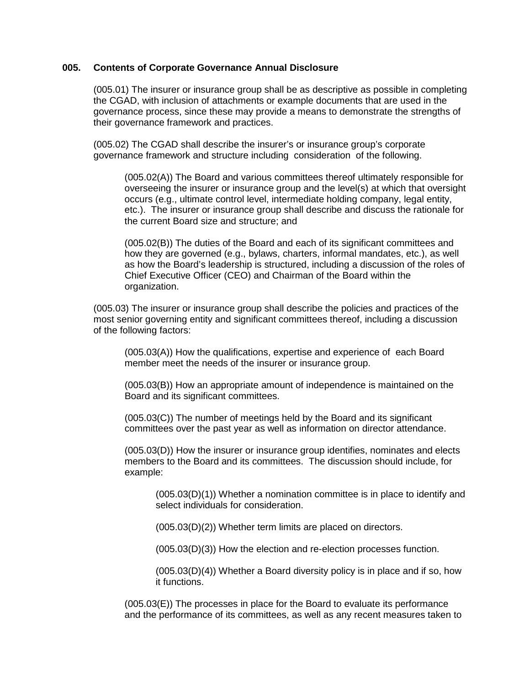#### **005. Contents of Corporate Governance Annual Disclosure**

(005.01) The insurer or insurance group shall be as descriptive as possible in completing the CGAD, with inclusion of attachments or example documents that are used in the governance process, since these may provide a means to demonstrate the strengths of their governance framework and practices.

(005.02) The CGAD shall describe the insurer's or insurance group's corporate governance framework and structure including consideration of the following.

(005.02(A)) The Board and various committees thereof ultimately responsible for overseeing the insurer or insurance group and the level(s) at which that oversight occurs (e.g., ultimate control level, intermediate holding company, legal entity, etc.). The insurer or insurance group shall describe and discuss the rationale for the current Board size and structure; and

(005.02(B)) The duties of the Board and each of its significant committees and how they are governed (e.g., bylaws, charters, informal mandates, etc.), as well as how the Board's leadership is structured, including a discussion of the roles of Chief Executive Officer (CEO) and Chairman of the Board within the organization.

(005.03) The insurer or insurance group shall describe the policies and practices of the most senior governing entity and significant committees thereof, including a discussion of the following factors:

(005.03(A)) How the qualifications, expertise and experience of each Board member meet the needs of the insurer or insurance group.

(005.03(B)) How an appropriate amount of independence is maintained on the Board and its significant committees.

(005.03(C)) The number of meetings held by the Board and its significant committees over the past year as well as information on director attendance.

(005.03(D)) How the insurer or insurance group identifies, nominates and elects members to the Board and its committees. The discussion should include, for example:

(005.03(D)(1)) Whether a nomination committee is in place to identify and select individuals for consideration.

(005.03(D)(2)) Whether term limits are placed on directors.

(005.03(D)(3)) How the election and re-election processes function.

(005.03(D)(4)) Whether a Board diversity policy is in place and if so, how it functions.

(005.03(E)) The processes in place for the Board to evaluate its performance and the performance of its committees, as well as any recent measures taken to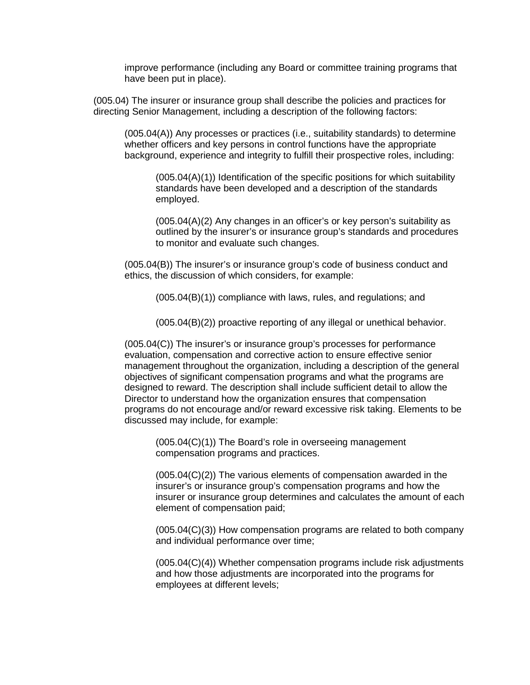improve performance (including any Board or committee training programs that have been put in place).

(005.04) The insurer or insurance group shall describe the policies and practices for directing Senior Management, including a description of the following factors:

(005.04(A)) Any processes or practices (i.e., suitability standards) to determine whether officers and key persons in control functions have the appropriate background, experience and integrity to fulfill their prospective roles, including:

(005.04(A)(1)) Identification of the specific positions for which suitability standards have been developed and a description of the standards employed.

(005.04(A)(2) Any changes in an officer's or key person's suitability as outlined by the insurer's or insurance group's standards and procedures to monitor and evaluate such changes.

(005.04(B)) The insurer's or insurance group's code of business conduct and ethics, the discussion of which considers, for example:

(005.04(B)(1)) compliance with laws, rules, and regulations; and

(005.04(B)(2)) proactive reporting of any illegal or unethical behavior.

(005.04(C)) The insurer's or insurance group's processes for performance evaluation, compensation and corrective action to ensure effective senior management throughout the organization, including a description of the general objectives of significant compensation programs and what the programs are designed to reward. The description shall include sufficient detail to allow the Director to understand how the organization ensures that compensation programs do not encourage and/or reward excessive risk taking. Elements to be discussed may include, for example:

(005.04(C)(1)) The Board's role in overseeing management compensation programs and practices.

(005.04(C)(2)) The various elements of compensation awarded in the insurer's or insurance group's compensation programs and how the insurer or insurance group determines and calculates the amount of each element of compensation paid;

(005.04(C)(3)) How compensation programs are related to both company and individual performance over time;

(005.04(C)(4)) Whether compensation programs include risk adjustments and how those adjustments are incorporated into the programs for employees at different levels;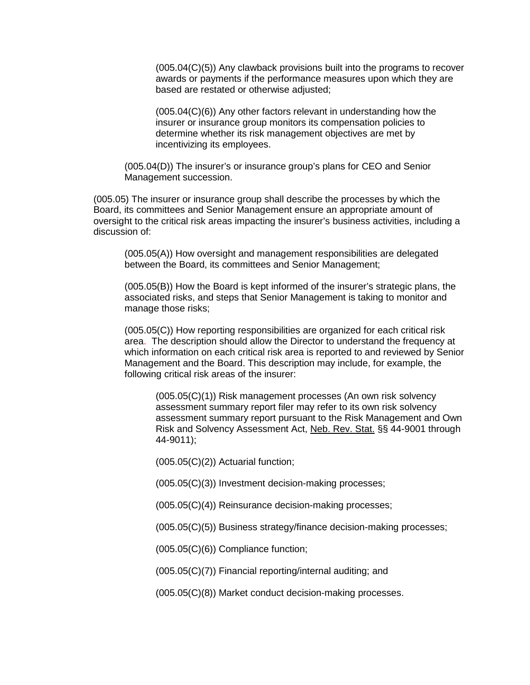(005.04(C)(5)) Any clawback provisions built into the programs to recover awards or payments if the performance measures upon which they are based are restated or otherwise adjusted;

(005.04(C)(6)) Any other factors relevant in understanding how the insurer or insurance group monitors its compensation policies to determine whether its risk management objectives are met by incentivizing its employees.

(005.04(D)) The insurer's or insurance group's plans for CEO and Senior Management succession.

(005.05) The insurer or insurance group shall describe the processes by which the Board, its committees and Senior Management ensure an appropriate amount of oversight to the critical risk areas impacting the insurer's business activities, including a discussion of:

(005.05(A)) How oversight and management responsibilities are delegated between the Board, its committees and Senior Management;

(005.05(B)) How the Board is kept informed of the insurer's strategic plans, the associated risks, and steps that Senior Management is taking to monitor and manage those risks;

(005.05(C)) How reporting responsibilities are organized for each critical risk area. The description should allow the Director to understand the frequency at which information on each critical risk area is reported to and reviewed by Senior Management and the Board. This description may include, for example, the following critical risk areas of the insurer:

(005.05(C)(1)) Risk management processes (An own risk solvency assessment summary report filer may refer to its own risk solvency assessment summary report pursuant to the Risk Management and Own Risk and Solvency Assessment Act, Neb. Rev. Stat. §§ 44-9001 through 44-9011);

(005.05(C)(2)) Actuarial function;

(005.05(C)(3)) Investment decision-making processes;

(005.05(C)(4)) Reinsurance decision-making processes;

(005.05(C)(5)) Business strategy/finance decision-making processes;

(005.05(C)(6)) Compliance function;

(005.05(C)(7)) Financial reporting/internal auditing; and

(005.05(C)(8)) Market conduct decision-making processes.